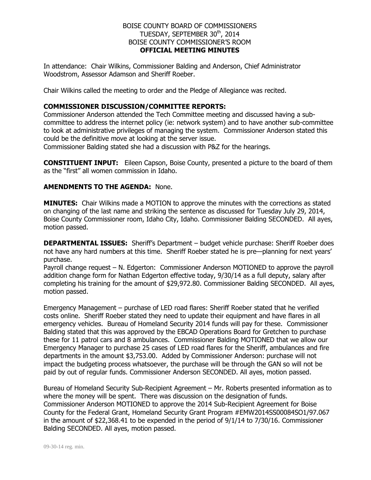## BOISE COUNTY BOARD OF COMMISSIONERS TUESDAY, SEPTEMBER 30<sup>th</sup>, 2014 BOISE COUNTY COMMISSIONER'S ROOM **OFFICIAL MEETING MINUTES**

In attendance: Chair Wilkins, Commissioner Balding and Anderson, Chief Administrator Woodstrom, Assessor Adamson and Sheriff Roeber.

Chair Wilkins called the meeting to order and the Pledge of Allegiance was recited.

## **COMMISSIONER DISCUSSION/COMMITTEE REPORTS:**

Commissioner Anderson attended the Tech Committee meeting and discussed having a subcommittee to address the internet policy (ie: network system) and to have another sub-committee to look at administrative privileges of managing the system. Commissioner Anderson stated this could be the definitive move at looking at the server issue.

Commissioner Balding stated she had a discussion with P&Z for the hearings.

**CONSTITUENT INPUT:** Eileen Capson, Boise County, presented a picture to the board of them as the "first" all women commission in Idaho.

## **AMENDMENTS TO THE AGENDA:** None.

**MINUTES:** Chair Wilkins made a MOTION to approve the minutes with the corrections as stated on changing of the last name and striking the sentence as discussed for Tuesday July 29, 2014, Boise County Commissioner room, Idaho City, Idaho. Commissioner Balding SECONDED. All ayes, motion passed.

**DEPARTMENTAL ISSUES:** Sheriff's Department – budget vehicle purchase: Sheriff Roeber does not have any hard numbers at this time. Sheriff Roeber stated he is pre—planning for next years' purchase.

Payroll change request – N. Edgerton: Commissioner Anderson MOTIONED to approve the payroll addition change form for Nathan Edgerton effective today, 9/30/14 as a full deputy, salary after completing his training for the amount of \$29,972.80. Commissioner Balding SECONDED. All ayes, motion passed.

Emergency Management – purchase of LED road flares: Sheriff Roeber stated that he verified costs online. Sheriff Roeber stated they need to update their equipment and have flares in all emergency vehicles. Bureau of Homeland Security 2014 funds will pay for these. Commissioner Balding stated that this was approved by the EBCAD Operations Board for Gretchen to purchase these for 11 patrol cars and 8 ambulances. Commissioner Balding MOTIONED that we allow our Emergency Manager to purchase 25 cases of LED road flares for the Sheriff, ambulances and fire departments in the amount \$3,753.00. Added by Commissioner Anderson: purchase will not impact the budgeting process whatsoever, the purchase will be through the GAN so will not be paid by out of regular funds. Commissioner Anderson SECONDED. All ayes, motion passed.

Bureau of Homeland Security Sub-Recipient Agreement – Mr. Roberts presented information as to where the money will be spent. There was discussion on the designation of funds. Commissioner Anderson MOTIONED to approve the 2014 Sub-Recipient Agreement for Boise County for the Federal Grant, Homeland Security Grant Program #EMW2014SS00084SO1/97.067 in the amount of \$22,368.41 to be expended in the period of 9/1/14 to 7/30/16. Commissioner Balding SECONDED. All ayes, motion passed.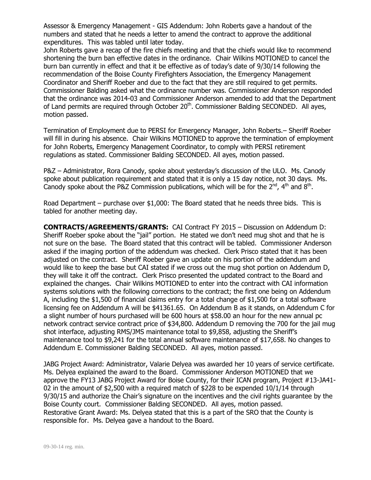Assessor & Emergency Management - GIS Addendum: John Roberts gave a handout of the numbers and stated that he needs a letter to amend the contract to approve the additional expenditures. This was tabled until later today.

John Roberts gave a recap of the fire chiefs meeting and that the chiefs would like to recommend shortening the burn ban effective dates in the ordinance. Chair Wilkins MOTIONED to cancel the burn ban currently in effect and that it be effective as of today's date of 9/30/14 following the recommendation of the Boise County Firefighters Association, the Emergency Management Coordinator and Sheriff Roeber and due to the fact that they are still required to get permits. Commissioner Balding asked what the ordinance number was. Commissioner Anderson responded that the ordinance was 2014-03 and Commissioner Anderson amended to add that the Department of Land permits are required through October  $20<sup>th</sup>$ . Commissioner Balding SECONDED. All ayes, motion passed.

Termination of Employment due to PERSI for Emergency Manager, John Roberts.– Sheriff Roeber will fill in during his absence. Chair Wilkins MOTIONED to approve the termination of employment for John Roberts, Emergency Management Coordinator, to comply with PERSI retirement regulations as stated. Commissioner Balding SECONDED. All ayes, motion passed.

P&Z – Administrator, Rora Canody, spoke about yesterday's discussion of the ULO. Ms. Canody spoke about publication requirement and stated that it is only a 15 day notice, not 30 days. Ms. Canody spoke about the P&Z Commission publications, which will be for the  $2^{nd}$ , 4<sup>th</sup> and 8<sup>th</sup>.

Road Department – purchase over \$1,000: The Board stated that he needs three bids. This is tabled for another meeting day.

**CONTRACTS/AGREEMENTS/GRANTS:** CAI Contract FY 2015 – Discussion on Addendum D: Sheriff Roeber spoke about the "jail" portion. He stated we don't need mug shot and that he is not sure on the base. The Board stated that this contract will be tabled. Commissioner Anderson asked if the imaging portion of the addendum was checked. Clerk Prisco stated that it has been adjusted on the contract. Sheriff Roeber gave an update on his portion of the addendum and would like to keep the base but CAI stated if we cross out the mug shot portion on Addendum D, they will take it off the contract. Clerk Prisco presented the updated contract to the Board and explained the changes. Chair Wilkins MOTIONED to enter into the contract with CAI information systems solutions with the following corrections to the contract; the first one being on Addendum A, including the \$1,500 of financial claims entry for a total change of \$1,500 for a total software licensing fee on Addendum A will be \$41361.65. On Addendum B as it stands, on Addendum C for a slight number of hours purchased will be 600 hours at \$58.00 an hour for the new annual pc network contract service contract price of \$34,800. Addendum D removing the 700 for the jail mug shot interface, adjusting RMS/JMS maintenance total to \$9,858, adjusting the Sheriff's maintenance tool to \$9,241 for the total annual software maintenance of \$17,658. No changes to Addendum E. Commissioner Balding SECONDED. All ayes, motion passed.

JABG Project Award: Administrator, Valarie Delyea was awarded her 10 years of service certificate. Ms. Delyea explained the award to the Board. Commissioner Anderson MOTIONED that we approve the FY13 JABG Project Award for Boise County, for their ICAN program, Project #13-JA41- 02 in the amount of \$2,500 with a required match of \$228 to be expended 10/1/14 through 9/30/15 and authorize the Chair's signature on the incentives and the civil rights guarantee by the Boise County court. Commissioner Balding SECONDED. All ayes, motion passed. Restorative Grant Award: Ms. Delyea stated that this is a part of the SRO that the County is responsible for. Ms. Delyea gave a handout to the Board.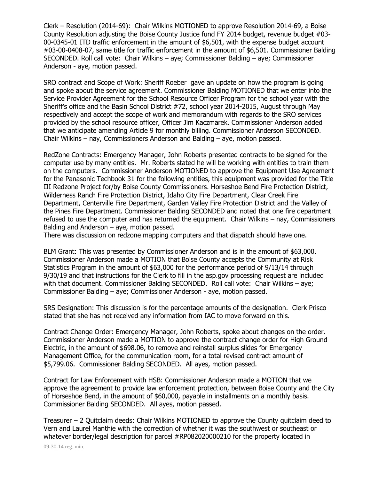Clerk – Resolution (2014-69): Chair Wilkins MOTIONED to approve Resolution 2014-69, a Boise County Resolution adjusting the Boise County Justice fund FY 2014 budget, revenue budget #03- 00-0345-01 ITD traffic enforcement in the amount of \$6,501, with the expense budget account #03-00-0408-07, same title for traffic enforcement in the amount of \$6,501. Commissioner Balding SECONDED. Roll call vote: Chair Wilkins – aye; Commissioner Balding – aye; Commissioner Anderson - aye, motion passed.

SRO contract and Scope of Work: Sheriff Roeber gave an update on how the program is going and spoke about the service agreement. Commissioner Balding MOTIONED that we enter into the Service Provider Agreement for the School Resource Officer Program for the school year with the Sheriff's office and the Basin School District #72, school year 2014-2015, August through May respectively and accept the scope of work and memorandum with regards to the SRO services provided by the school resource officer, Officer Jim Kaczmarek. Commissioner Anderson added that we anticipate amending Article 9 for monthly billing. Commissioner Anderson SECONDED. Chair Wilkins – nay, Commissioners Anderson and Balding – aye, motion passed.

RedZone Contracts: Emergency Manager, John Roberts presented contracts to be signed for the computer use by many entities. Mr. Roberts stated he will be working with entities to train them on the computers. Commissioner Anderson MOTIONED to approve the Equipment Use Agreement for the Panasonic Techbook 31 for the following entities, this equipment was provided for the Title III Redzone Project for/by Boise County Commissioners. Horseshoe Bend Fire Protection District, Wilderness Ranch Fire Protection District, Idaho City Fire Department, Clear Creek Fire Department, Centerville Fire Department, Garden Valley Fire Protection District and the Valley of the Pines Fire Department. Commissioner Balding SECONDED and noted that one fire department refused to use the computer and has returned the equipment. Chair Wilkins – nay, Commissioners Balding and Anderson – aye, motion passed.

There was discussion on redzone mapping computers and that dispatch should have one.

BLM Grant: This was presented by Commissioner Anderson and is in the amount of \$63,000. Commissioner Anderson made a MOTION that Boise County accepts the Community at Risk Statistics Program in the amount of \$63,000 for the performance period of 9/13/14 through 9/30/19 and that instructions for the Clerk to fill in the asp.gov processing request are included with that document. Commissioner Balding SECONDED. Roll call vote: Chair Wilkins – aye; Commissioner Balding – aye; Commissioner Anderson - aye, motion passed.

SRS Designation: This discussion is for the percentage amounts of the designation. Clerk Prisco stated that she has not received any information from IAC to move forward on this.

Contract Change Order: Emergency Manager, John Roberts, spoke about changes on the order. Commissioner Anderson made a MOTION to approve the contract change order for High Ground Electric, in the amount of \$698.06, to remove and reinstall surplus slides for Emergency Management Office, for the communication room, for a total revised contract amount of \$5,799.06. Commissioner Balding SECONDED. All ayes, motion passed.

Contract for Law Enforcement with HSB: Commissioner Anderson made a MOTION that we approve the agreement to provide law enforcement protection, between Boise County and the City of Horseshoe Bend, in the amount of \$60,000, payable in installments on a monthly basis. Commissioner Balding SECONDED. All ayes, motion passed.

Treasurer – 2 Quitclaim deeds: Chair Wilkins MOTIONED to approve the County quitclaim deed to Vern and Laurel Manthie with the correction of whether it was the southwest or southeast or whatever border/legal description for parcel #RP082020000210 for the property located in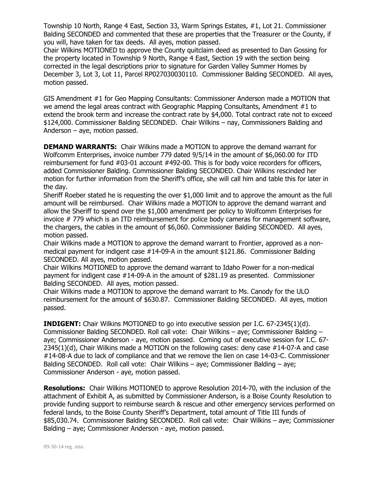Township 10 North, Range 4 East, Section 33, Warm Springs Estates, #1, Lot 21. Commissioner Balding SECONDED and commented that these are properties that the Treasurer or the County, if you will, have taken for tax deeds. All ayes, motion passed.

Chair Wilkins MOTIONED to approve the County quitclaim deed as presented to Dan Gossing for the property located in Township 9 North, Range 4 East, Section 19 with the section being corrected in the legal descriptions prior to signature for Garden Valley Summer Homes by December 3, Lot 3, Lot 11, Parcel RP027030030110. Commissioner Balding SECONDED. All ayes, motion passed.

GIS Amendment #1 for Geo Mapping Consultants: Commissioner Anderson made a MOTION that we amend the legal areas contract with Geographic Mapping Consultants, Amendment #1 to extend the brook term and increase the contract rate by \$4,000. Total contract rate not to exceed \$124,000. Commissioner Balding SECONDED. Chair Wilkins – nay, Commissioners Balding and Anderson – aye, motion passed.

**DEMAND WARRANTS:** Chair Wilkins made a MOTION to approve the demand warrant for Wolfcomm Enterprises, invoice number 779 dated 9/5/14 in the amount of \$6,060.00 for ITD reimbursement for fund #03-01 account #492-00. This is for body voice recorders for officers, added Commissioner Balding. Commissioner Balding SECONDED. Chair Wilkins rescinded her motion for further information from the Sheriff's office, she will call him and table this for later in the day.

Sheriff Roeber stated he is requesting the over \$1,000 limit and to approve the amount as the full amount will be reimbursed. Chair Wilkins made a MOTION to approve the demand warrant and allow the Sheriff to spend over the \$1,000 amendment per policy to Wolfcomm Enterprises for invoice # 779 which is an ITD reimbursement for police body cameras for management software, the chargers, the cables in the amount of \$6,060. Commissioner Balding SECONDED. All ayes, motion passed.

Chair Wilkins made a MOTION to approve the demand warrant to Frontier, approved as a nonmedical payment for indigent case  $#14$ -09-A in the amount \$121.86. Commissioner Balding SECONDED. All ayes, motion passed.

Chair Wilkins MOTIONED to approve the demand warrant to Idaho Power for a non-medical payment for indigent case #14-09-A in the amount of \$281.19 as presented. Commissioner Balding SECONDED. All ayes, motion passed.

Chair Wilkins made a MOTION to approve the demand warrant to Ms. Canody for the ULO reimbursement for the amount of \$630.87. Commissioner Balding SECONDED. All ayes, motion passed.

**INDIGENT:** Chair Wilkins MOTIONED to go into executive session per I.C. 67-2345(1)(d). Commissioner Balding SECONDED. Roll call vote: Chair Wilkins – aye; Commissioner Balding – aye; Commissioner Anderson - aye, motion passed. Coming out of executive session for I.C. 67- 2345(1)(d), Chair Wilkins made a MOTION on the following cases: deny case #14-07-A and case #14-08-A due to lack of compliance and that we remove the lien on case 14-03-C. Commissioner Balding SECONDED. Roll call vote: Chair Wilkins – aye; Commissioner Balding – aye; Commissioner Anderson - aye, motion passed.

**Resolutions:** Chair Wilkins MOTIONED to approve Resolution 2014-70, with the inclusion of the attachment of Exhibit A, as submitted by Commissioner Anderson, is a Boise County Resolution to provide funding support to reimburse search & rescue and other emergency services performed on federal lands, to the Boise County Sheriff's Department, total amount of Title III funds of \$85,030.74. Commissioner Balding SECONDED. Roll call vote: Chair Wilkins – aye; Commissioner Balding – aye; Commissioner Anderson - aye, motion passed.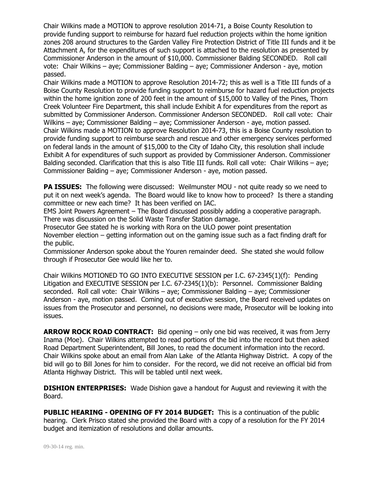Chair Wilkins made a MOTION to approve resolution 2014-71, a Boise County Resolution to provide funding support to reimburse for hazard fuel reduction projects within the home ignition zones 208 around structures to the Garden Valley Fire Protection District of Title III funds and it be Attachment A, for the expenditures of such support is attached to the resolution as presented by Commissioner Anderson in the amount of \$10,000. Commissioner Balding SECONDED. Roll call vote: Chair Wilkins – aye; Commissioner Balding – aye; Commissioner Anderson - aye, motion passed.

Chair Wilkins made a MOTION to approve Resolution 2014-72; this as well is a Title III funds of a Boise County Resolution to provide funding support to reimburse for hazard fuel reduction projects within the home ignition zone of 200 feet in the amount of \$15,000 to Valley of the Pines, Thorn Creek Volunteer Fire Department, this shall include Exhibit A for expenditures from the report as submitted by Commissioner Anderson. Commissioner Anderson SECONDED. Roll call vote: Chair Wilkins – aye; Commissioner Balding – aye; Commissioner Anderson - aye, motion passed. Chair Wilkins made a MOTION to approve Resolution 2014-73, this is a Boise County resolution to provide funding support to reimburse search and rescue and other emergency services performed on federal lands in the amount of \$15,000 to the City of Idaho City, this resolution shall include Exhibit A for expenditures of such support as provided by Commissioner Anderson. Commissioner Balding seconded. Clarification that this is also Title III funds. Roll call vote: Chair Wilkins – aye; Commissioner Balding – aye; Commissioner Anderson - aye, motion passed.

**PA ISSUES:** The following were discussed: Weilmunster MOU - not quite ready so we need to put it on next week's agenda. The Board would like to know how to proceed? Is there a standing committee or new each time? It has been verified on IAC.

EMS Joint Powers Agreement – The Board discussed possibly adding a cooperative paragraph. There was discussion on the Solid Waste Transfer Station damage.

Prosecutor Gee stated he is working with Rora on the ULO power point presentation November election – getting information out on the gaming issue such as a fact finding draft for the public.

Commissioner Anderson spoke about the Youren remainder deed. She stated she would follow through if Prosecutor Gee would like her to.

Chair Wilkins MOTIONED TO GO INTO EXECUTIVE SESSION per I.C. 67-2345(1)(f): Pending Litigation and EXECUTIVE SESSION per I.C. 67-2345(1)(b): Personnel. Commissioner Balding seconded. Roll call vote: Chair Wilkins – aye; Commissioner Balding – aye; Commissioner Anderson - aye, motion passed. Coming out of executive session, the Board received updates on issues from the Prosecutor and personnel, no decisions were made, Prosecutor will be looking into issues.

**ARROW ROCK ROAD CONTRACT:** Bid opening – only one bid was received, it was from Jerry Inama (Moe). Chair Wilkins attempted to read portions of the bid into the record but then asked Road Department Superintendent, Bill Jones, to read the document information into the record. Chair Wilkins spoke about an email from Alan Lake of the Atlanta Highway District. A copy of the bid will go to Bill Jones for him to consider. For the record, we did not receive an official bid from Atlanta Highway District. This will be tabled until next week.

**DISHION ENTERPRISES:** Wade Dishion gave a handout for August and reviewing it with the Board.

**PUBLIC HEARING - OPENING OF FY 2014 BUDGET:** This is a continuation of the public hearing. Clerk Prisco stated she provided the Board with a copy of a resolution for the FY 2014 budget and itemization of resolutions and dollar amounts.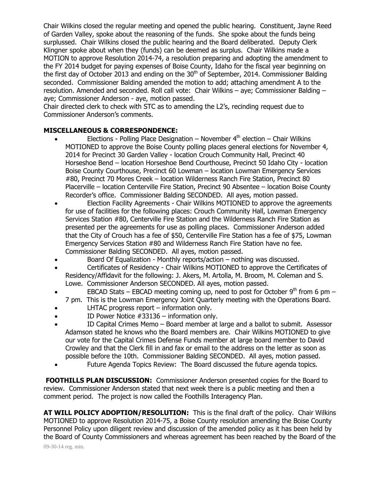Chair Wilkins closed the regular meeting and opened the public hearing. Constituent, Jayne Reed of Garden Valley, spoke about the reasoning of the funds. She spoke about the funds being surplussed. Chair Wilkins closed the public hearing and the Board deliberated. Deputy Clerk Klingner spoke about when they (funds) can be deemed as surplus. Chair Wilkins made a MOTION to approve Resolution 2014-74, a resolution preparing and adopting the amendment to the FY 2014 budget for paying expenses of Boise County, Idaho for the fiscal year beginning on the first day of October 2013 and ending on the  $30<sup>th</sup>$  of September, 2014. Commissioner Balding seconded. Commissioner Balding amended the motion to add; attaching amendment A to the resolution. Amended and seconded. Roll call vote: Chair Wilkins – aye; Commissioner Balding – aye; Commissioner Anderson - aye, motion passed.

Chair directed clerk to check with STC as to amending the L2's, recinding request due to Commissioner Anderson's comments.

## **MISCELLANEOUS & CORRESPONDENCE:**

- **Elections** Polling Place Designation November  $4<sup>th</sup>$  election Chair Wilkins MOTIONED to approve the Boise County polling places general elections for November 4, 2014 for Precinct 30 Garden Valley - location Crouch Community Hall, Precinct 40 Horseshoe Bend – location Horseshoe Bend Courthouse, Precinct 50 Idaho City - location Boise County Courthouse, Precinct 60 Lowman – location Lowman Emergency Services #80, Precinct 70 Mores Creek – location Wilderness Ranch Fire Station, Precinct 80 Placerville – location Centerville Fire Station, Precinct 90 Absentee – location Boise County Recorder's office. Commissioner Balding SECONDED. All ayes, motion passed.
- Election Facility Agreements Chair Wilkins MOTIONED to approve the agreements for use of facilities for the following places: Crouch Community Hall, Lowman Emergency Services Station #80, Centerville Fire Station and the Wilderness Ranch Fire Station as presented per the agreements for use as polling places. Commissioner Anderson added that the City of Crouch has a fee of \$50, Centerville Fire Station has a fee of \$75, Lowman Emergency Services Station #80 and Wilderness Ranch Fire Station have no fee. Commissioner Balding SECONDED. All ayes, motion passed.
- Board Of Equalization Monthly reports/action nothing was discussed.
- Certificates of Residency Chair Wilkins MOTIONED to approve the Certificates of Residency/Affidavit for the following: J. Akers, M. Artolla, M. Broom, M. Coleman and S. Lowe. Commissioner Anderson SECONDED. All ayes, motion passed.
- **EBCAD Stats EBCAD meeting coming up, need to post for October 9<sup>th</sup> from 6 pm** 7 pm. This is the Lowman Emergency Joint Quarterly meeting with the Operations Board.
- LHTAC progress report information only.
- ID Power Notice #33136 information only.
- ID Capital Crimes Memo Board member at large and a ballot to submit. Assessor Adamson stated he knows who the Board members are. Chair Wilkins MOTIONED to give our vote for the Capital Crimes Defense Funds member at large board member to David Crowley and that the Clerk fill in and fax or email to the address on the letter as soon as possible before the 10th. Commissioner Balding SECONDED. All ayes, motion passed.
- Future Agenda Topics Review: The Board discussed the future agenda topics.

**FOOTHILLS PLAN DISCUSSION:** Commissioner Anderson presented copies for the Board to review. Commissioner Anderson stated that next week there is a public meeting and then a comment period. The project is now called the Foothills Interagency Plan.

**AT WILL POLICY ADOPTION/RESOLUTION:** This is the final draft of the policy. Chair Wilkins MOTIONED to approve Resolution 2014-75, a Boise County resolution amending the Boise County Personnel Policy upon diligent review and discussion of the amended policy as it has been held by the Board of County Commissioners and whereas agreement has been reached by the Board of the